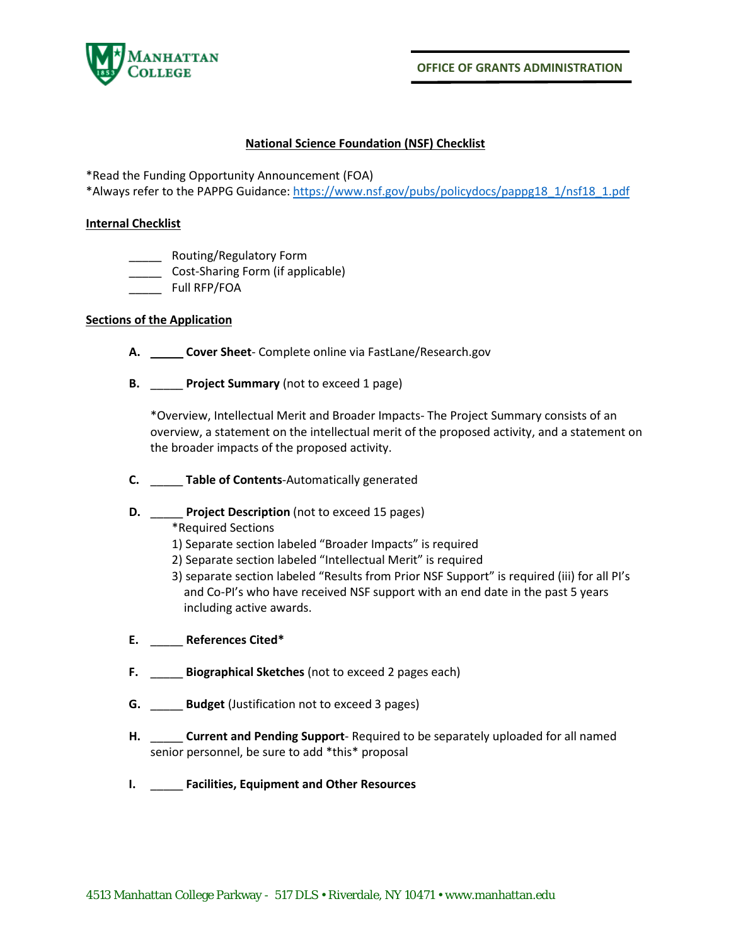

 **OFFICE OF GRANTS ADMINISTRATION**

## **National Science Foundation (NSF) Checklist**

\*Read the Funding Opportunity Announcement (FOA)

\*Always refer to the PAPPG Guidance[: https://www.nsf.gov/pubs/policydocs/pappg18\\_1/nsf18\\_1.pdf](https://www.nsf.gov/pubs/policydocs/pappg18_1/nsf18_1.pdf)

## **Internal Checklist**

- \_\_\_\_\_ Routing/Regulatory Form
- \_\_\_\_\_ Cost-Sharing Form (if applicable)
- \_\_\_\_\_ Full RFP/FOA

## **Sections of the Application**

- **A.** \_\_\_\_\_ **Cover Sheet** Complete online via FastLane/Research.gov
- **B.** \_\_\_\_\_ **Project Summary** (not to exceed 1 page)

\*Overview, Intellectual Merit and Broader Impacts- The Project Summary consists of an overview, a statement on the intellectual merit of the proposed activity, and a statement on the broader impacts of the proposed activity.

- **C.** \_\_\_\_\_ **Table of Contents**-Automatically generated
- **D.** \_\_\_\_\_ **Project Description** (not to exceed 15 pages)

\*Required Sections

- 1) Separate section labeled "Broader Impacts" is required
- 2) Separate section labeled "Intellectual Merit" is required
- 3) separate section labeled "Results from Prior NSF Support" is required (iii) for all PI's and Co-PI's who have received NSF support with an end date in the past 5 years including active awards.
- **E.** \_\_\_\_\_ **References Cited\***
- **F.** \_\_\_\_\_ **Biographical Sketches** (not to exceed 2 pages each)
- **G.** \_\_\_\_\_ **Budget** (Justification not to exceed 3 pages)
- **H.** \_\_\_\_\_ **Current and Pending Support** Required to be separately uploaded for all named senior personnel, be sure to add \*this\* proposal
- **I.** \_\_\_\_\_ **Facilities, Equipment and Other Resources**